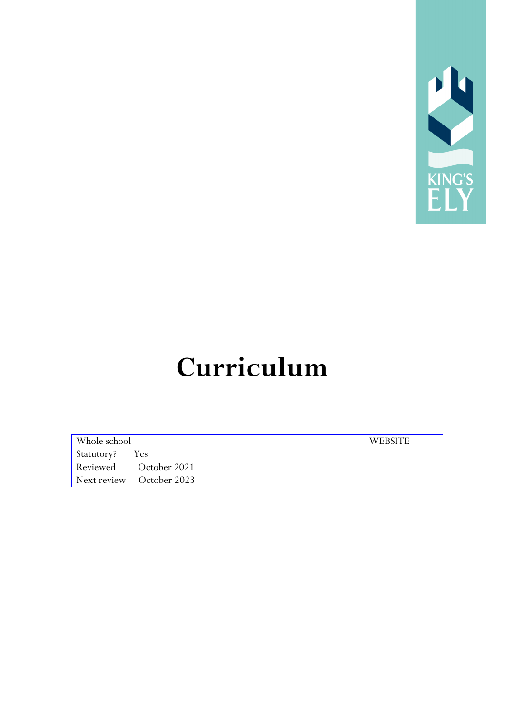

## **Curriculum**

| Whole school   |                                   | <b>WEBSITE</b> |
|----------------|-----------------------------------|----------------|
| Statutory? Yes |                                   |                |
|                | Reviewed October 2021             |                |
|                | $\sqrt{$ Next review October 2023 |                |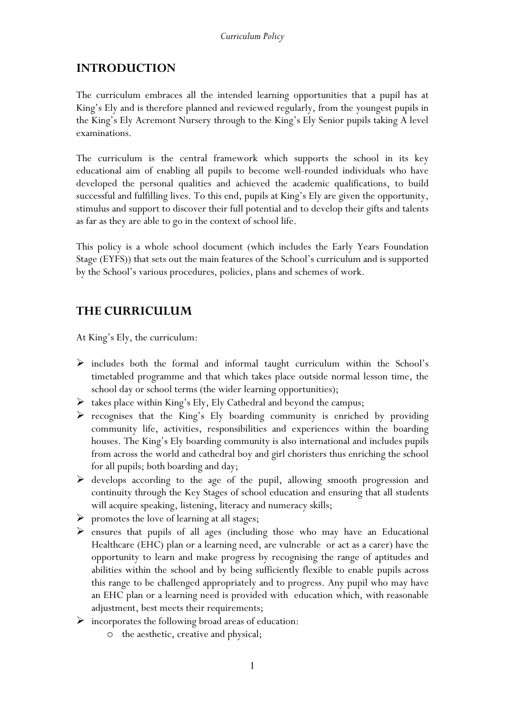## **INTRODUCTION**

The curriculum embraces all the intended learning opportunities that a pupil has at King's Ely and is therefore planned and reviewed regularly, from the youngest pupils in the King's Ely Acremont Nursery through to the King's Ely Senior pupils taking A level examinations.

The curriculum is the central framework which supports the school in its key educational aim of enabling all pupils to become well-rounded individuals who have developed the personal qualities and achieved the academic qualifications, to build successful and fulfilling lives. To this end, pupils at King's Ely are given the opportunity, stimulus and support to discover their full potential and to develop their gifts and talents as far as they are able to go in the context of school life.

This policy is a whole school document (which includes the Early Years Foundation Stage (EYFS)) that sets out the main features of the School's curriculum and is supported by the School's various procedures, policies, plans and schemes of work.

## **THE CURRICULUM**

At King's Ely, the curriculum:

- $\triangleright$  includes both the formal and informal taught curriculum within the School's timetabled programme and that which takes place outside normal lesson time, the school day or school terms (the wider learning opportunities);
- $\triangleright$  takes place within King's Ely, Ely Cathedral and beyond the campus;
- $\triangleright$  recognises that the King's Ely boarding community is enriched by providing community life, activities, responsibilities and experiences within the boarding houses. The King's Ely boarding community is also international and includes pupils from across the world and cathedral boy and girl choristers thus enriching the school for all pupils; both boarding and day;
- $\triangleright$  develops according to the age of the pupil, allowing smooth progression and continuity through the Key Stages of school education and ensuring that all students will acquire speaking, listening, literacy and numeracy skills;
- $\triangleright$  promotes the love of learning at all stages;
- $\triangleright$  ensures that pupils of all ages (including those who may have an Educational Healthcare (EHC) plan or a learning need, are vulnerable or act as a carer) have the opportunity to learn and make progress by recognising the range of aptitudes and abilities within the school and by being sufficiently flexible to enable pupils across this range to be challenged appropriately and to progress. Any pupil who may have an EHC plan or a learning need is provided with education which, with reasonable adjustment, best meets their requirements;
- $\triangleright$  incorporates the following broad areas of education:
	- o the aesthetic, creative and physical;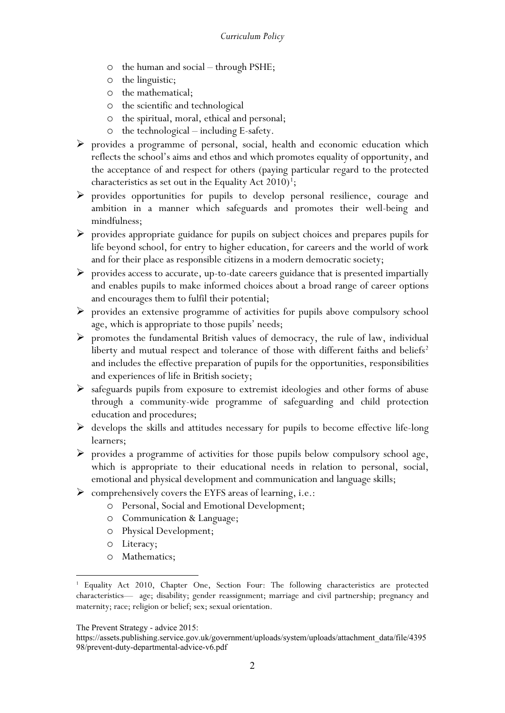- o the human and social through PSHE;
- o the linguistic;
- o the mathematical;
- o the scientific and technological
- o the spiritual, moral, ethical and personal;
- o the technological including E-safety.
- $\triangleright$  provides a programme of personal, social, health and economic education which reflects the school's aims and ethos and which promotes equality of opportunity, and the acceptance of and respect for others (paying particular regard to the protected characteristics as set out in the Equality Act  $2010)^1$  $2010)^1$  $2010)^1$ ;
- provides opportunities for pupils to develop personal resilience, courage and ambition in a manner which safeguards and promotes their well-being and mindfulness;
- $\triangleright$  provides appropriate guidance for pupils on subject choices and prepares pupils for life beyond school, for entry to higher education, for careers and the world of work and for their place as responsible citizens in a modern democratic society;
- $\triangleright$  provides access to accurate, up-to-date careers guidance that is presented impartially and enables pupils to make informed choices about a broad range of career options and encourages them to fulfil their potential;
- $\triangleright$  provides an extensive programme of activities for pupils above compulsory school age, which is appropriate to those pupils' needs;
- $\triangleright$  promotes the fundamental British values of democracy, the rule of law, individual liberty and mutual respect and tolerance of those with different faiths and beliefs<sup>[2](#page-2-1)</sup> and includes the effective preparation of pupils for the opportunities, responsibilities and experiences of life in British society;
- $\triangleright$  safeguards pupils from exposure to extremist ideologies and other forms of abuse through a community-wide programme of safeguarding and child protection education and procedures;
- $\triangleright$  develops the skills and attitudes necessary for pupils to become effective life-long learners;
- $\triangleright$  provides a programme of activities for those pupils below compulsory school age, which is appropriate to their educational needs in relation to personal, social, emotional and physical development and communication and language skills;
- $\triangleright$  comprehensively covers the EYFS areas of learning, i.e.:
	- o Personal, Social and Emotional Development;
	- o Communication & Language;
	- o Physical Development;
	- o Literacy;
	- o Mathematics;

<span id="page-2-1"></span>The Prevent Strategy - advice 2015:

<span id="page-2-0"></span><sup>1</sup> Equality Act 2010, Chapter One, Section Four: The following characteristics are protected characteristics— age; disability; gender reassignment; marriage and civil partnership; pregnancy and maternity; race; religion or belief; sex; sexual orientation.

https://assets.publishing.service.gov.uk/government/uploads/system/uploads/attachment\_data/file/4395 98/prevent-duty-departmental-advice-v6.pdf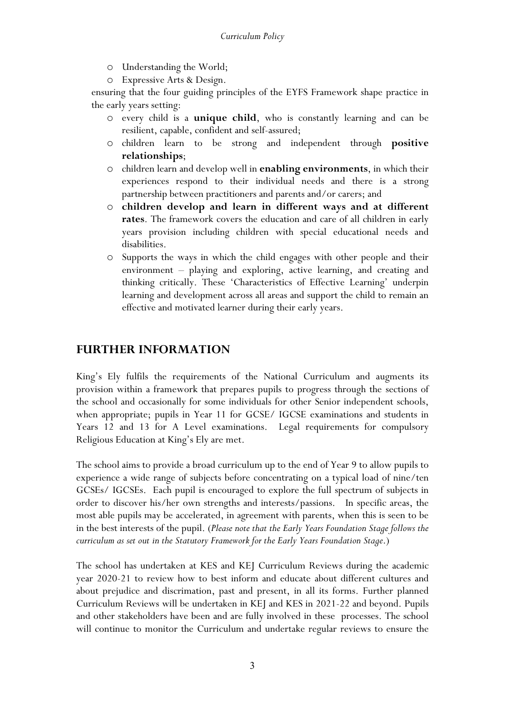- o Understanding the World;
- o Expressive Arts & Design.

ensuring that the four guiding principles of the EYFS Framework shape practice in the early years setting:

- o every child is a **unique child**, who is constantly learning and can be resilient, capable, confident and self-assured;
- o children learn to be strong and independent through **positive relationships**;
- o children learn and develop well in **enabling environments**, in which their experiences respond to their individual needs and there is a strong partnership between practitioners and parents and/or carers; and
- o **children develop and learn in different ways and at different rates**. The framework covers the education and care of all children in early years provision including children with special educational needs and disabilities.
- o Supports the ways in which the child engages with other people and their environment – playing and exploring, active learning, and creating and thinking critically. These 'Characteristics of Effective Learning' underpin learning and development across all areas and support the child to remain an effective and motivated learner during their early years.

## **FURTHER INFORMATION**

King's Ely fulfils the requirements of the National Curriculum and augments its provision within a framework that prepares pupils to progress through the sections of the school and occasionally for some individuals for other Senior independent schools, when appropriate; pupils in Year 11 for GCSE/ IGCSE examinations and students in Years 12 and 13 for A Level examinations. Legal requirements for compulsory Religious Education at King's Ely are met.

The school aims to provide a broad curriculum up to the end of Year 9 to allow pupils to experience a wide range of subjects before concentrating on a typical load of nine/ten GCSEs/ IGCSEs. Each pupil is encouraged to explore the full spectrum of subjects in order to discover his/her own strengths and interests/passions. In specific areas, the most able pupils may be accelerated, in agreement with parents, when this is seen to be in the best interests of the pupil. (*Please note that the Early Years Foundation Stage follows the curriculum as set out in the Statutory Framework for the Early Years Foundation Stage*.)

The school has undertaken at KES and KEJ Curriculum Reviews during the academic year 2020-21 to review how to best inform and educate about different cultures and about prejudice and discrimation, past and present, in all its forms. Further planned Curriculum Reviews will be undertaken in KEJ and KES in 2021-22 and beyond. Pupils and other stakeholders have been and are fully involved in these processes. The school will continue to monitor the Curriculum and undertake regular reviews to ensure the